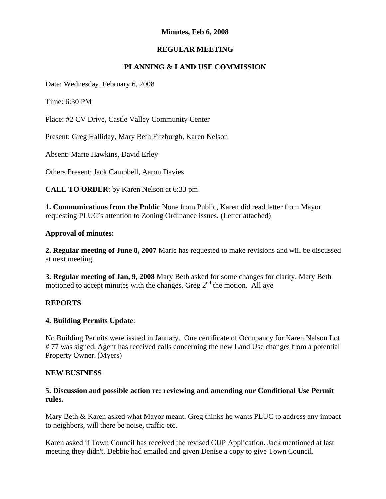# **Minutes, Feb 6, 2008**

## **REGULAR MEETING**

# **PLANNING & LAND USE COMMISSION**

Date: Wednesday, February 6, 2008

Time: 6:30 PM

Place: #2 CV Drive, Castle Valley Community Center

Present: Greg Halliday, Mary Beth Fitzburgh, Karen Nelson

Absent: Marie Hawkins, David Erley

Others Present: Jack Campbell, Aaron Davies

**CALL TO ORDER**: by Karen Nelson at 6:33 pm

**1. Communications from the Public** None from Public, Karen did read letter from Mayor requesting PLUC's attention to Zoning Ordinance issues. (Letter attached)

### **Approval of minutes:**

**2. Regular meeting of June 8, 2007** Marie has requested to make revisions and will be discussed at next meeting.

**3. Regular meeting of Jan, 9, 2008** Mary Beth asked for some changes for clarity. Mary Beth motioned to accept minutes with the changes. Greg  $2<sup>nd</sup>$  the motion. All aye

### **REPORTS**

### **4. Building Permits Update**:

No Building Permits were issued in January. One certificate of Occupancy for Karen Nelson Lot # 77 was signed. Agent has received calls concerning the new Land Use changes from a potential Property Owner. (Myers)

### **NEW BUSINESS**

### **5. Discussion and possible action re: reviewing and amending our Conditional Use Permit rules.**

Mary Beth & Karen asked what Mayor meant. Greg thinks he wants PLUC to address any impact to neighbors, will there be noise, traffic etc.

Karen asked if Town Council has received the revised CUP Application. Jack mentioned at last meeting they didn't. Debbie had emailed and given Denise a copy to give Town Council.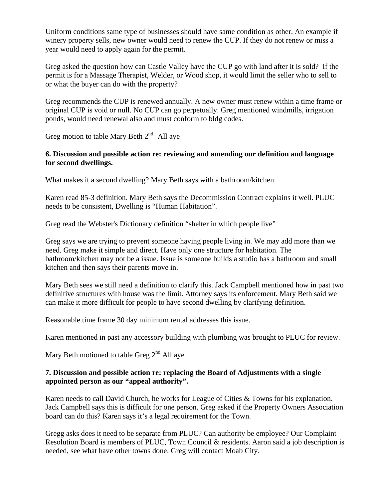Uniform conditions same type of businesses should have same condition as other. An example if winery property sells, new owner would need to renew the CUP. If they do not renew or miss a year would need to apply again for the permit.

Greg asked the question how can Castle Valley have the CUP go with land after it is sold? If the permit is for a Massage Therapist, Welder, or Wood shop, it would limit the seller who to sell to or what the buyer can do with the property?

Greg recommends the CUP is renewed annually. A new owner must renew within a time frame or original CUP is void or null. No CUP can go perpetually. Greg mentioned windmills, irrigation ponds, would need renewal also and must conform to bldg codes.

Greg motion to table Mary Beth  $2^{nd}$ . All aye

# **6. Discussion and possible action re: reviewing and amending our definition and language for second dwellings.**

What makes it a second dwelling? Mary Beth says with a bathroom/kitchen.

Karen read 85-3 definition. Mary Beth says the Decommission Contract explains it well. PLUC needs to be consistent, Dwelling is "Human Habitation".

Greg read the Webster's Dictionary definition "shelter in which people live"

Greg says we are trying to prevent someone having people living in. We may add more than we need. Greg make it simple and direct. Have only one structure for habitation. The bathroom/kitchen may not be a issue. Issue is someone builds a studio has a bathroom and small kitchen and then says their parents move in.

Mary Beth sees we still need a definition to clarify this. Jack Campbell mentioned how in past two definitive structures with house was the limit. Attorney says its enforcement. Mary Beth said we can make it more difficult for people to have second dwelling by clarifying definition.

Reasonable time frame 30 day minimum rental addresses this issue.

Karen mentioned in past any accessory building with plumbing was brought to PLUC for review.

Mary Beth motioned to table Greg  $2<sup>nd</sup>$  All aye

## **7. Discussion and possible action re: replacing the Board of Adjustments with a single appointed person as our "appeal authority".**

Karen needs to call David Church, he works for League of Cities & Towns for his explanation. Jack Campbell says this is difficult for one person. Greg asked if the Property Owners Association board can do this? Karen says it's a legal requirement for the Town.

Gregg asks does it need to be separate from PLUC? Can authority be employee? Our Complaint Resolution Board is members of PLUC, Town Council & residents. Aaron said a job description is needed, see what have other towns done. Greg will contact Moab City.